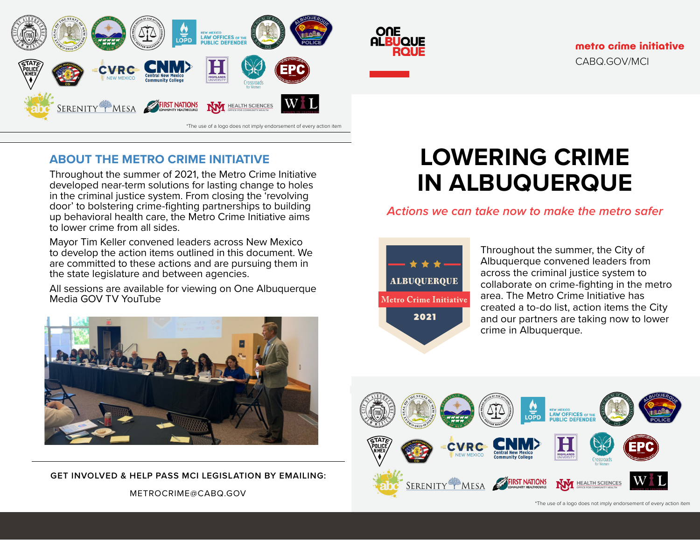

#### **ABOUT THE METRO CRIME INITIATIVE**

Throughout the summer of 2021, the Metro Crime Initiative developed near-term solutions for lasting change to holes in the criminal justice system. From closing the 'revolving door' to bolstering crime-fighting partnerships to building up behavioral health care, the Metro Crime Initiative aims to lower crime from all sides.

Mayor Tim Keller convened leaders across New Mexico to develop the action items outlined in this document. We are committed to these actions and are pursuing them in the state legislature and between agencies.

All sessions are available for viewing on One Albuquerque Media GOV TV YouTube



METROCRIME@CABQ.GOV **GET INVOLVED & HELP PASS MCI LEGISLATION BY EMAILING:** 

# **LOWERING CRIME IN ALBUQUERQUE**

*Actions we can take now to make the metro safer*



ONE

**ALBUQUE** 

Throughout the summer, the City of Albuquerque convened leaders from across the criminal justice system to collaborate on crime-fighting in the metro area. The Metro Crime Initiative has created a to-do list, action items the City and our partners are taking now to lower crime in Albuquerque.



<sup>\*</sup>The use of a logo does not imply endorsement of every action item \*The use of a logo does not imply endorsement of every action item

**metro crime initiative** CABQ.GOV/MCI